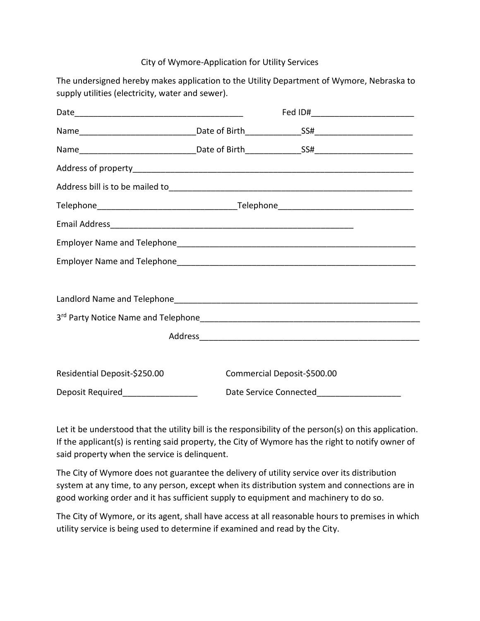## City of Wymore-Application for Utility Services

The undersigned hereby makes application to the Utility Department of Wymore, Nebraska to supply utilities (electricity, water and sewer).

|                              |  | Fed ID#_____________________________ |  |
|------------------------------|--|--------------------------------------|--|
|                              |  |                                      |  |
|                              |  |                                      |  |
|                              |  |                                      |  |
|                              |  |                                      |  |
|                              |  |                                      |  |
|                              |  |                                      |  |
|                              |  |                                      |  |
|                              |  |                                      |  |
|                              |  |                                      |  |
|                              |  |                                      |  |
|                              |  |                                      |  |
|                              |  |                                      |  |
|                              |  |                                      |  |
| Residential Deposit-\$250.00 |  | Commercial Deposit-\$500.00          |  |
|                              |  |                                      |  |

Let it be understood that the utility bill is the responsibility of the person(s) on this application. If the applicant(s) is renting said property, the City of Wymore has the right to notify owner of said property when the service is delinquent.

The City of Wymore does not guarantee the delivery of utility service over its distribution system at any time, to any person, except when its distribution system and connections are in good working order and it has sufficient supply to equipment and machinery to do so.

The City of Wymore, or its agent, shall have access at all reasonable hours to premises in which utility service is being used to determine if examined and read by the City.